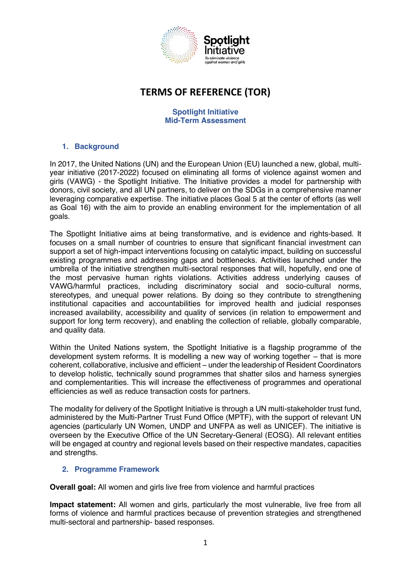

# **TERMS OF REFERENCE (TOR)**

#### **Spotlight Initiative Mid-Term Assessment**

### **1. Background**

In 2017, the United Nations (UN) and the European Union (EU) launched a new, global, multiyear initiative (2017-2022) focused on eliminating all forms of violence against women and girls (VAWG) - the Spotlight Initiative. The Initiative provides a model for partnership with donors, civil society, and all UN partners, to deliver on the SDGs in a comprehensive manner leveraging comparative expertise. The initiative places Goal 5 at the center of efforts (as well as Goal 16) with the aim to provide an enabling environment for the implementation of all goals.

The Spotlight Initiative aims at being transformative, and is evidence and rights-based. It focuses on a small number of countries to ensure that significant financial investment can support a set of high-impact interventions focusing on catalytic impact, building on successful existing programmes and addressing gaps and bottlenecks. Activities launched under the umbrella of the initiative strengthen multi-sectoral responses that will, hopefully, end one of the most pervasive human rights violations. Activities address underlying causes of VAWG/harmful practices, including discriminatory social and socio-cultural norms, stereotypes, and unequal power relations. By doing so they contribute to strengthening institutional capacities and accountabilities for improved health and judicial responses increased availability, accessibility and quality of services (in relation to empowerment and support for long term recovery), and enabling the collection of reliable, globally comparable, and quality data.

Within the United Nations system, the Spotlight Initiative is a flagship programme of the development system reforms. It is modelling a new way of working together – that is more coherent, collaborative, inclusive and efficient – under the leadership of Resident Coordinators to develop holistic, technically sound programmes that shatter silos and harness synergies and complementarities. This will increase the effectiveness of programmes and operational efficiencies as well as reduce transaction costs for partners.

The modality for delivery of the Spotlight Initiative is through a UN multi-stakeholder trust fund, administered by the Multi-Partner Trust Fund Office (MPTF), with the support of relevant UN agencies (particularly UN Women, UNDP and UNFPA as well as UNICEF). The initiative is overseen by the Executive Office of the UN Secretary-General (EOSG). All relevant entities will be engaged at country and regional levels based on their respective mandates, capacities and strengths.

#### **2. Programme Framework**

**Overall goal:** All women and girls live free from violence and harmful practices

**Impact statement:** All women and girls, particularly the most vulnerable, live free from all forms of violence and harmful practices because of prevention strategies and strengthened multi-sectoral and partnership- based responses.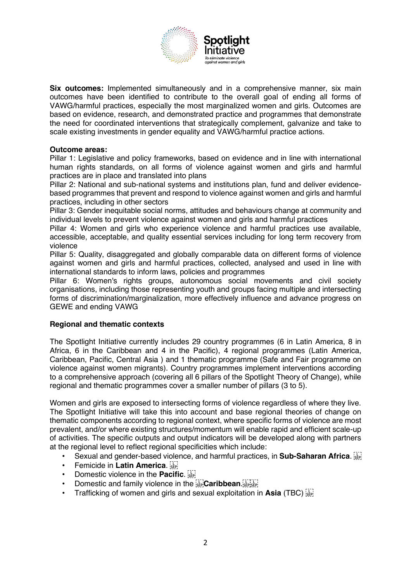

**Six outcomes:** Implemented simultaneously and in a comprehensive manner, six main outcomes have been identified to contribute to the overall goal of ending all forms of VAWG/harmful practices, especially the most marginalized women and girls. Outcomes are based on evidence, research, and demonstrated practice and programmes that demonstrate the need for coordinated interventions that strategically complement, galvanize and take to scale existing investments in gender equality and VAWG/harmful practice actions.

#### **Outcome areas:**

Pillar 1: Legislative and policy frameworks, based on evidence and in line with international human rights standards, on all forms of violence against women and girls and harmful practices are in place and translated into plans

Pillar 2: National and sub-national systems and institutions plan, fund and deliver evidencebased programmes that prevent and respond to violence against women and girls and harmful practices, including in other sectors

Pillar 3: Gender inequitable social norms, attitudes and behaviours change at community and individual levels to prevent violence against women and girls and harmful practices

Pillar 4: Women and girls who experience violence and harmful practices use available, accessible, acceptable, and quality essential services including for long term recovery from violence

Pillar 5: Quality, disaggregated and globally comparable data on different forms of violence against women and girls and harmful practices, collected, analysed and used in line with international standards to inform laws, policies and programmes

Pillar 6: Women's rights groups, autonomous social movements and civil society organisations, including those representing youth and groups facing multiple and intersecting forms of discrimination/marginalization, more effectively influence and advance progress on GEWE and ending VAWG

#### **Regional and thematic contexts**

The Spotlight Initiative currently includes 29 country programmes (6 in Latin America, 8 in Africa, 6 in the Caribbean and 4 in the Pacific), 4 regional programmes (Latin America, Caribbean, Pacific, Central Asia ) and 1 thematic programme (Safe and Fair programme on violence against women migrants). Country programmes implement interventions according to a comprehensive approach (covering all 6 pillars of the Spotlight Theory of Change), while regional and thematic programmes cover a smaller number of pillars (3 to 5).

Women and girls are exposed to intersecting forms of violence regardless of where they live. The Spotlight Initiative will take this into account and base regional theories of change on thematic components according to regional context, where specific forms of violence are most prevalent, and/or where existing structures/momentum will enable rapid and efficient scale-up of activities. The specific outputs and output indicators will be developed along with partners at the regional level to reflect regional specificities which include:

- Sexual and gender-based violence, and harmful practices, in **Sub-Saharan Africa**.
- **Femicide in Latin America.**
- Domestic violence in the **Pacific**.
- Domestic and family violence in the **SEP**<sup>[17]</sup> Caribbean. SEPISEP!
- Trafficking of women and girls and sexual exploitation in **Asia** (TBC)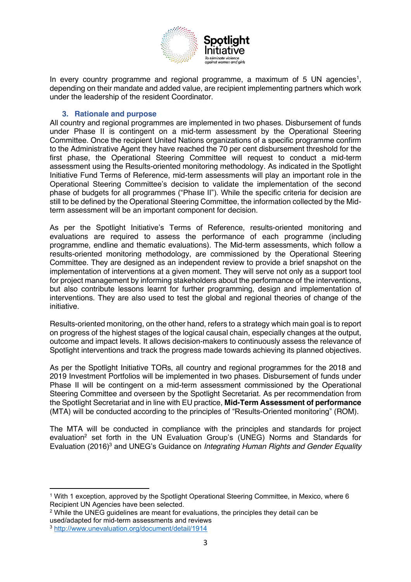

In every country programme and regional programme, a maximum of 5 UN agencies<sup>1</sup>, depending on their mandate and added value, are recipient implementing partners which work under the leadership of the resident Coordinator.

#### **3. Rationale and purpose**

All country and regional programmes are implemented in two phases. Disbursement of funds under Phase II is contingent on a mid-term assessment by the Operational Steering Committee. Once the recipient United Nations organizations of a specific programme confirm to the Administrative Agent they have reached the 70 per cent disbursement threshold for the first phase, the Operational Steering Committee will request to conduct a mid-term assessment using the Results-oriented monitoring methodology. As indicated in the Spotlight Initiative Fund Terms of Reference, mid-term assessments will play an important role in the Operational Steering Committee's decision to validate the implementation of the second phase of budgets for all programmes ("Phase II"). While the specific criteria for decision are still to be defined by the Operational Steering Committee, the information collected by the Midterm assessment will be an important component for decision.

As per the Spotlight Initiative's Terms of Reference, results-oriented monitoring and evaluations are required to assess the performance of each programme (including programme, endline and thematic evaluations). The Mid-term assessments, which follow a results-oriented monitoring methodology, are commissioned by the Operational Steering Committee. They are designed as an independent review to provide a brief snapshot on the implementation of interventions at a given moment. They will serve not only as a support tool for project management by informing stakeholders about the performance of the interventions, but also contribute lessons learnt for further programming, design and implementation of interventions. They are also used to test the global and regional theories of change of the initiative.

Results-oriented monitoring, on the other hand, refers to a strategy which main goal is to report on progress of the highest stages of the logical causal chain, especially changes at the output, outcome and impact levels. It allows decision-makers to continuously assess the relevance of Spotlight interventions and track the progress made towards achieving its planned objectives.

As per the Spotlight Initiative TORs, all country and regional programmes for the 2018 and 2019 Investment Portfolios will be implemented in two phases. Disbursement of funds under Phase II will be contingent on a mid-term assessment commissioned by the Operational Steering Committee and overseen by the Spotlight Secretariat. As per recommendation from the Spotlight Secretariat and in line with EU practice, **Mid-Term Assessment of performance** (MTA) will be conducted according to the principles of "Results-Oriented monitoring" (ROM).

The MTA will be conducted in compliance with the principles and standards for project evaluation<sup>2</sup> set forth in the UN Evaluation Group's (UNEG) Norms and Standards for Evaluation (2016)3 and UNEG's Guidance on *Integrating Human Rights and Gender Equality* 

<sup>1</sup> With 1 exception, approved by the Spotlight Operational Steering Committee, in Mexico, where 6 Recipient UN Agencies have been selected.

<sup>2</sup> While the UNEG guidelines are meant for evaluations, the principles they detail can be used/adapted for mid-term assessments and reviews

<sup>3</sup> <http://www.unevaluation.org/document/detail/1914>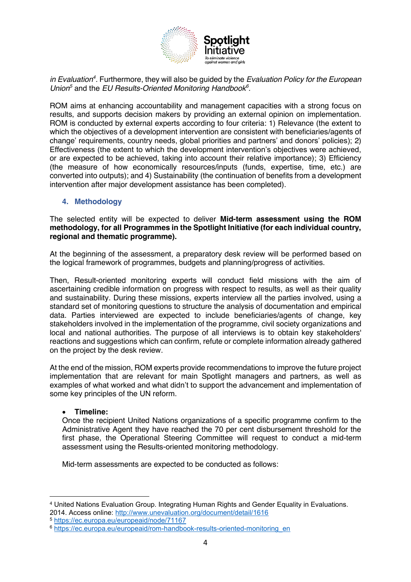

*in Evaluation4 .* Furthermore, they will also be guided by the *Evaluation Policy for the European Union5* and the *EU Results-Oriented Monitoring Handbook<sup>6</sup> .* 

ROM aims at enhancing accountability and management capacities with a strong focus on results, and supports decision makers by providing an external opinion on implementation. ROM is conducted by external experts according to four criteria: 1) Relevance (the extent to which the objectives of a development intervention are consistent with beneficiaries/agents of change' requirements, country needs, global priorities and partners' and donors' policies); 2) Effectiveness (the extent to which the development intervention's objectives were achieved, or are expected to be achieved, taking into account their relative importance); 3) Efficiency (the measure of how economically resources/inputs (funds, expertise, time, etc.) are converted into outputs); and 4) Sustainability (the continuation of benefits from a development intervention after major development assistance has been completed).

#### **4. Methodology**

The selected entity will be expected to deliver **Mid-term assessment using the ROM methodology, for all Programmes in the Spotlight Initiative (for each individual country, regional and thematic programme).** 

At the beginning of the assessment, a preparatory desk review will be performed based on the logical framework of programmes, budgets and planning/progress of activities.

Then, Result-oriented monitoring experts will conduct field missions with the aim of ascertaining credible information on progress with respect to results, as well as their quality and sustainability. During these missions, experts interview all the parties involved, using a standard set of monitoring questions to structure the analysis of documentation and empirical data. Parties interviewed are expected to include beneficiaries/agents of change, key stakeholders involved in the implementation of the programme, civil society organizations and local and national authorities. The purpose of all interviews is to obtain key stakeholders' reactions and suggestions which can confirm, refute or complete information already gathered on the project by the desk review.

At the end of the mission, ROM experts provide recommendations to improve the future project implementation that are relevant for main Spotlight managers and partners, as well as examples of what worked and what didn't to support the advancement and implementation of some key principles of the UN reform.

#### • **Timeline:**

Once the recipient United Nations organizations of a specific programme confirm to the Administrative Agent they have reached the 70 per cent disbursement threshold for the first phase, the Operational Steering Committee will request to conduct a mid-term assessment using the Results-oriented monitoring methodology.

Mid-term assessments are expected to be conducted as follows:

<sup>5</sup> <https://ec.europa.eu/europeaid/node/71167>

<sup>4</sup> United Nations Evaluation Group. Integrating Human Rights and Gender Equality in Evaluations. 2014. Access online:<http://www.unevaluation.org/document/detail/1616>

<sup>&</sup>lt;sup>6</sup> [https://ec.europa.eu/europeaid/rom-handbook-results-oriented-monitoring\\_en](https://ec.europa.eu/europeaid/rom-handbook-results-oriented-monitoring_en)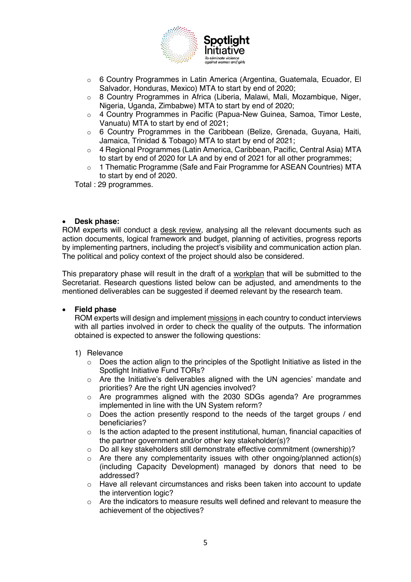

- o 6 Country Programmes in Latin America (Argentina, Guatemala, Ecuador, El Salvador, Honduras, Mexico) MTA to start by end of 2020;
- $\circ$  8 Country Programmes in Africa (Liberia, Malawi, Mali, Mozambique, Niger, Nigeria, Uganda, Zimbabwe) MTA to start by end of 2020;
- $\circ$  4 Country Programmes in Pacific (Papua-New Guinea, Samoa, Timor Leste, Vanuatu) MTA to start by end of 2021;
- o 6 Country Programmes in the Caribbean (Belize, Grenada, Guyana, Haiti, Jamaica, Trinidad & Tobago) MTA to start by end of 2021;
- o 4 Regional Programmes (Latin America, Caribbean, Pacific, Central Asia) MTA to start by end of 2020 for LA and by end of 2021 for all other programmes;
- $\circ$  1 Thematic Programme (Safe and Fair Programme for ASEAN Countries) MTA to start by end of 2020.

Total : 29 programmes.

#### • **Desk phase:**

ROM experts will conduct a desk review, analysing all the relevant documents such as action documents, logical framework and budget, planning of activities, progress reports by implementing partners, including the project's visibility and communication action plan. The political and policy context of the project should also be considered.

This preparatory phase will result in the draft of a workplan that will be submitted to the Secretariat. Research questions listed below can be adjusted, and amendments to the mentioned deliverables can be suggested if deemed relevant by the research team.

#### • **Field phase**

ROM experts will design and implement missions in each country to conduct interviews with all parties involved in order to check the quality of the outputs. The information obtained is expected to answer the following questions:

#### 1) Relevance

- $\circ$  Does the action align to the principles of the Spotlight Initiative as listed in the Spotlight Initiative Fund TORs?
- o Are the Initiative's deliverables aligned with the UN agencies' mandate and priorities? Are the right UN agencies involved?
- o Are programmes aligned with the 2030 SDGs agenda? Are programmes implemented in line with the UN System reform?
- o Does the action presently respond to the needs of the target groups / end beneficiaries?
- $\circ$  Is the action adapted to the present institutional, human, financial capacities of the partner government and/or other key stakeholder(s)?
- o Do all key stakeholders still demonstrate effective commitment (ownership)?
- $\circ$  Are there any complementarity issues with other ongoing/planned action(s) (including Capacity Development) managed by donors that need to be addressed?
- o Have all relevant circumstances and risks been taken into account to update the intervention logic?
- o Are the indicators to measure results well defined and relevant to measure the achievement of the objectives?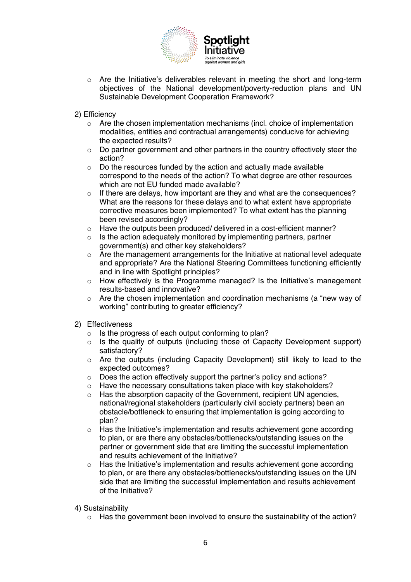

- $\circ$  Are the Initiative's deliverables relevant in meeting the short and long-term objectives of the National development/poverty-reduction plans and UN Sustainable Development Cooperation Framework?
- 2) Efficiency
	- o Are the chosen implementation mechanisms (incl. choice of implementation modalities, entities and contractual arrangements) conducive for achieving the expected results?
	- $\circ$  Do partner government and other partners in the country effectively steer the action?
	- $\circ$  Do the resources funded by the action and actually made available correspond to the needs of the action? To what degree are other resources which are not EU funded made available?
	- o If there are delays, how important are they and what are the consequences? What are the reasons for these delays and to what extent have appropriate corrective measures been implemented? To what extent has the planning been revised accordingly?
	- o Have the outputs been produced/ delivered in a cost-efficient manner?
	- $\circ$  Is the action adequately monitored by implementing partners, partner government(s) and other key stakeholders?
	- $\circ$  Are the management arrangements for the Initiative at national level adequate and appropriate? Are the National Steering Committees functioning efficiently and in line with Spotlight principles?
	- o How effectively is the Programme managed? Is the Initiative's management results-based and innovative?
	- o Are the chosen implementation and coordination mechanisms (a "new way of working" contributing to greater efficiency?
- 2) Effectiveness
	- $\circ$  Is the progress of each output conforming to plan?
	- o Is the quality of outputs (including those of Capacity Development support) satisfactory?
	- o Are the outputs (including Capacity Development) still likely to lead to the expected outcomes?
	- o Does the action effectively support the partner's policy and actions?
	- $\circ$  Have the necessary consultations taken place with key stakeholders?<br>  $\circ$  Has the absorption capacity of the Government, recipient UN agencies
	- Has the absorption capacity of the Government, recipient UN agencies, national/regional stakeholders (particularly civil society partners) been an obstacle/bottleneck to ensuring that implementation is going according to plan?
	- $\circ$  Has the Initiative's implementation and results achievement gone according to plan, or are there any obstacles/bottlenecks/outstanding issues on the partner or government side that are limiting the successful implementation and results achievement of the Initiative?
	- o Has the Initiative's implementation and results achievement gone according to plan, or are there any obstacles/bottlenecks/outstanding issues on the UN side that are limiting the successful implementation and results achievement of the Initiative?

4) Sustainability

 $\circ$  Has the government been involved to ensure the sustainability of the action?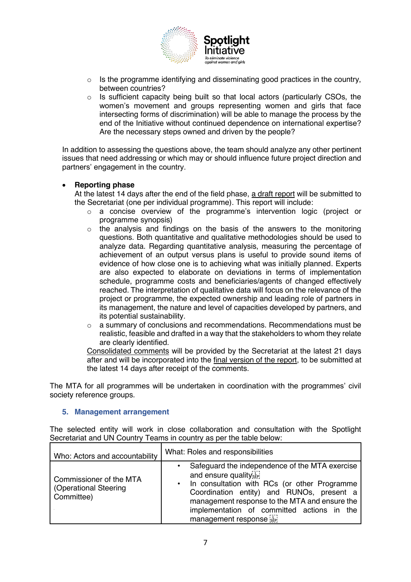

- $\circ$  Is the programme identifying and disseminating good practices in the country, between countries?
- $\circ$  Is sufficient capacity being built so that local actors (particularly CSOs, the women's movement and groups representing women and girls that face intersecting forms of discrimination) will be able to manage the process by the end of the Initiative without continued dependence on international expertise? Are the necessary steps owned and driven by the people?

In addition to assessing the questions above, the team should analyze any other pertinent issues that need addressing or which may or should influence future project direction and partners' engagement in the country.

#### • **Reporting phase**

At the latest 14 days after the end of the field phase, a draft report will be submitted to the Secretariat (one per individual programme). This report will include:

- $\circ$  a concise overview of the programme's intervention logic (project or programme synopsis)
- $\circ$  the analysis and findings on the basis of the answers to the monitoring questions. Both quantitative and qualitative methodologies should be used to analyze data. Regarding quantitative analysis, measuring the percentage of achievement of an output versus plans is useful to provide sound items of evidence of how close one is to achieving what was initially planned. Experts are also expected to elaborate on deviations in terms of implementation schedule, programme costs and beneficiaries/agents of changed effectively reached. The interpretation of qualitative data will focus on the relevance of the project or programme, the expected ownership and leading role of partners in its management, the nature and level of capacities developed by partners, and its potential sustainability.
- $\circ$  a summary of conclusions and recommendations. Recommendations must be realistic, feasible and drafted in a way that the stakeholders to whom they relate are clearly identified.

Consolidated comments will be provided by the Secretariat at the latest 21 days after and will be incorporated into the final version of the report, to be submitted at the latest 14 days after receipt of the comments.

The MTA for all programmes will be undertaken in coordination with the programmes' civil society reference groups.

#### **5. Management arrangement**

The selected entity will work in close collaboration and consultation with the Spotlight Secretariat and UN Country Teams in country as per the table below:

| Who: Actors and accountability                                 | What: Roles and responsibilities                                                                                                                                                                                                                                                          |
|----------------------------------------------------------------|-------------------------------------------------------------------------------------------------------------------------------------------------------------------------------------------------------------------------------------------------------------------------------------------|
| Commissioner of the MTA<br>(Operational Steering<br>Committee) | Safeguard the independence of the MTA exercise<br>and ensure quality<br>• In consultation with RCs (or other Programme<br>Coordination entity) and RUNOs, present a<br>management response to the MTA and ensure the<br>implementation of committed actions in the<br>management response |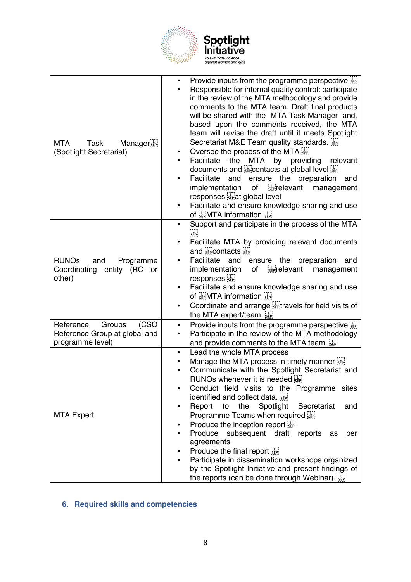

| Manager <sub>sin</sub><br><b>MTA</b><br>Task<br>(Spotlight Secretariat)           | Provide inputs from the programme perspective $\sum_{s \in \mathbb{N}}$<br>$\bullet$<br>Responsible for internal quality control: participate<br>in the review of the MTA methodology and provide<br>comments to the MTA team. Draft final products<br>will be shared with the MTA Task Manager and,<br>based upon the comments received, the MTA<br>team will revise the draft until it meets Spotlight<br>Secretariat M&E Team quality standards.<br>Oversee the process of the MTA<br>$\bullet$<br><b>MTA</b><br>Facilitate<br>the<br>by<br>providing<br>relevant<br>$\bullet$<br>documents and sepontacts at global level sep<br>Facilitate and<br>ensure the preparation<br>and<br>seprelevant management<br>implementation<br>of<br>responses steat global level<br>Facilitate and ensure knowledge sharing and use<br>٠<br>of SEPMTA information SEP |
|-----------------------------------------------------------------------------------|-------------------------------------------------------------------------------------------------------------------------------------------------------------------------------------------------------------------------------------------------------------------------------------------------------------------------------------------------------------------------------------------------------------------------------------------------------------------------------------------------------------------------------------------------------------------------------------------------------------------------------------------------------------------------------------------------------------------------------------------------------------------------------------------------------------------------------------------------------------|
| <b>RUNOs</b><br>and<br>Programme<br>Coordinating entity (RC<br>or<br>other)       | Support and participate in the process of the MTA<br>$\bullet$<br>FT<br>SEP<br>Facilitate MTA by providing relevant documents<br>٠<br>and sepcontacts sep<br>Facilitate and<br>ensure the preparation<br>and<br>$\frac{1}{155}$ relevant<br>implementation<br>management<br>of<br>responses<br>Facilitate and ensure knowledge sharing and use<br>of see MTA information see<br>Coordinate and arrange $\frac{1}{2}$ travels for field visits of<br>٠<br>the MTA expert/team.                                                                                                                                                                                                                                                                                                                                                                               |
| (CSO)<br>Groups<br>Reference<br>Reference Group at global and<br>programme level) | Provide inputs from the programme perspective [17]<br>٠<br>Participate in the review of the MTA methodology<br>٠<br>and provide comments to the MTA team.                                                                                                                                                                                                                                                                                                                                                                                                                                                                                                                                                                                                                                                                                                   |
| <b>MTA Expert</b>                                                                 | Lead the whole MTA process<br>$\bullet$<br>Manage the MTA process in timely manner $\sum_{s \in \mathbb{N}}$<br>٠<br>Communicate with the Spotlight Secretariat and<br>RUNOs whenever it is needed see<br>Conduct field visits to the Programme sites<br>identified and collect data.<br>Secretariat<br>Report<br>the<br>Spotlight<br>to<br>and<br>٠<br>Programme Teams when required<br>Produce the inception report<br>Produce<br>subsequent draft reports<br>as<br>per<br>agreements<br>Produce the final report $\frac{1}{2}$<br>Participate in dissemination workshops organized<br>٠<br>by the Spotlight Initiative and present findings of<br>the reports (can be done through Webinar).                                                                                                                                                             |

## **6. Required skills and competencies**